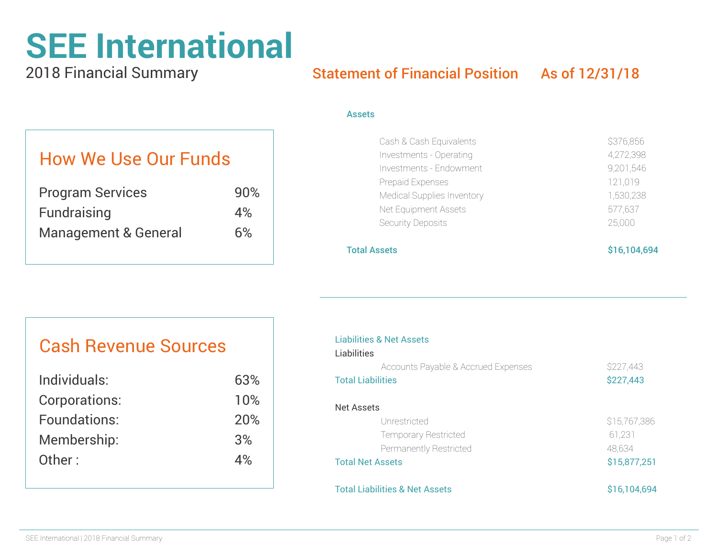# **SEE International**

2018 Financial Summary

## Statement of Financial Position As of 12/31/18

#### Assets

|  |  |  |  | <b>How We Use Our Funds</b> |
|--|--|--|--|-----------------------------|
|--|--|--|--|-----------------------------|

| <b>Program Services</b>         | 90% |
|---------------------------------|-----|
| Fundraising                     | 4%  |
| <b>Management &amp; General</b> | 6%  |

| Cash & Cash Equivalents    | \$376,856 |
|----------------------------|-----------|
| Investments - Operating    | 4,272,398 |
| Investments - Endowment    | 9,201,546 |
| Prepaid Expenses           | 121,019   |
| Medical Supplies Inventory | 1,530,238 |
| Net Equipment Assets       | 577,637   |
| Security Deposits          | 25,000    |
|                            |           |

#### Total Assets \$16,104,694

### Liabilities & Net Assets **Liabilities** Accounts Payable & Accrued Expenses \$227,443 Total Liabilities **\$227,443** Net Assets Unrestricted \$15,767,386 Temporary Restricted 61,231 Permanently Restricted 48,634 Total Net Assets \$15,877,251 Total Liabilities & Net Assets \$16,104,694

# Cash Revenue Sources

| Individuals:  | 63% |
|---------------|-----|
| Corporations: | 10% |
| Foundations:  | 20% |
| Membership:   | 3%  |
| Other:        | 4%  |
|               |     |